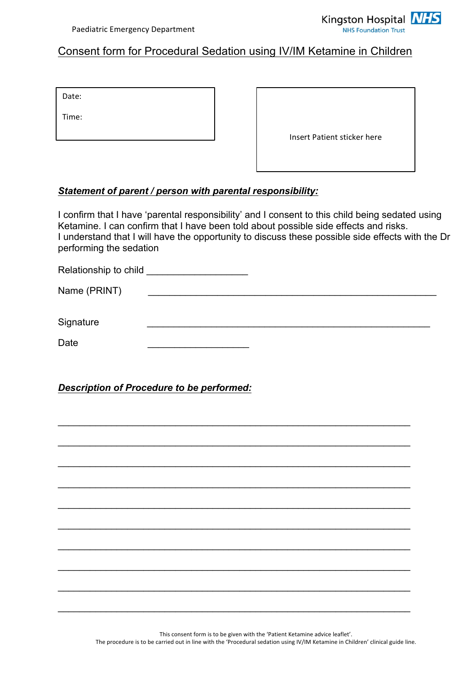

## Consent form for Procedural Sedation using IV/IM Ketamine in Children

| Date: |  |  |
|-------|--|--|
| Time: |  |  |

| Insert Patient sticker here |  |
|-----------------------------|--|

## *Statement of parent / person with parental responsibility:*

I confirm that I have 'parental responsibility' and I consent to this child being sedated using Ketamine. I can confirm that I have been told about possible side effects and risks. I understand that I will have the opportunity to discuss these possible side effects with the Dr performing the sedation

| Relationship to child <b>contain the Relationship to child</b> |  |  |
|----------------------------------------------------------------|--|--|
| Name (PRINT)                                                   |  |  |
|                                                                |  |  |
| Signature                                                      |  |  |
| Date                                                           |  |  |

 $\mathcal{L}_\text{max}$  and  $\mathcal{L}_\text{max}$  and  $\mathcal{L}_\text{max}$  and  $\mathcal{L}_\text{max}$  and  $\mathcal{L}_\text{max}$  and  $\mathcal{L}_\text{max}$ 

\_\_\_\_\_\_\_\_\_\_\_\_\_\_\_\_\_\_\_\_\_\_\_\_\_\_\_\_\_\_\_\_\_\_\_\_\_\_\_\_\_\_\_\_\_\_\_\_\_\_\_\_\_\_\_\_\_\_\_\_\_\_\_\_\_\_

\_\_\_\_\_\_\_\_\_\_\_\_\_\_\_\_\_\_\_\_\_\_\_\_\_\_\_\_\_\_\_\_\_\_\_\_\_\_\_\_\_\_\_\_\_\_\_\_\_\_\_\_\_\_\_\_\_\_\_\_\_\_\_\_\_\_

\_\_\_\_\_\_\_\_\_\_\_\_\_\_\_\_\_\_\_\_\_\_\_\_\_\_\_\_\_\_\_\_\_\_\_\_\_\_\_\_\_\_\_\_\_\_\_\_\_\_\_\_\_\_\_\_\_\_\_\_\_\_\_\_\_\_

 $\mathcal{L}_\text{max}$  and  $\mathcal{L}_\text{max}$  and  $\mathcal{L}_\text{max}$  and  $\mathcal{L}_\text{max}$  and  $\mathcal{L}_\text{max}$  and  $\mathcal{L}_\text{max}$ 

 $\mathcal{L}_\text{max}$  and  $\mathcal{L}_\text{max}$  and  $\mathcal{L}_\text{max}$  and  $\mathcal{L}_\text{max}$  and  $\mathcal{L}_\text{max}$  and  $\mathcal{L}_\text{max}$ 

\_\_\_\_\_\_\_\_\_\_\_\_\_\_\_\_\_\_\_\_\_\_\_\_\_\_\_\_\_\_\_\_\_\_\_\_\_\_\_\_\_\_\_\_\_\_\_\_\_\_\_\_\_\_\_\_\_\_\_\_\_\_\_\_\_\_

\_\_\_\_\_\_\_\_\_\_\_\_\_\_\_\_\_\_\_\_\_\_\_\_\_\_\_\_\_\_\_\_\_\_\_\_\_\_\_\_\_\_\_\_\_\_\_\_\_\_\_\_\_\_\_\_\_\_\_\_\_\_\_\_\_\_

\_\_\_\_\_\_\_\_\_\_\_\_\_\_\_\_\_\_\_\_\_\_\_\_\_\_\_\_\_\_\_\_\_\_\_\_\_\_\_\_\_\_\_\_\_\_\_\_\_\_\_\_\_\_\_\_\_\_\_\_\_\_\_\_\_\_

 $\mathcal{L}_\text{max}$  and  $\mathcal{L}_\text{max}$  and  $\mathcal{L}_\text{max}$  and  $\mathcal{L}_\text{max}$  and  $\mathcal{L}_\text{max}$  and  $\mathcal{L}_\text{max}$ 

*Description of Procedure to be performed:*